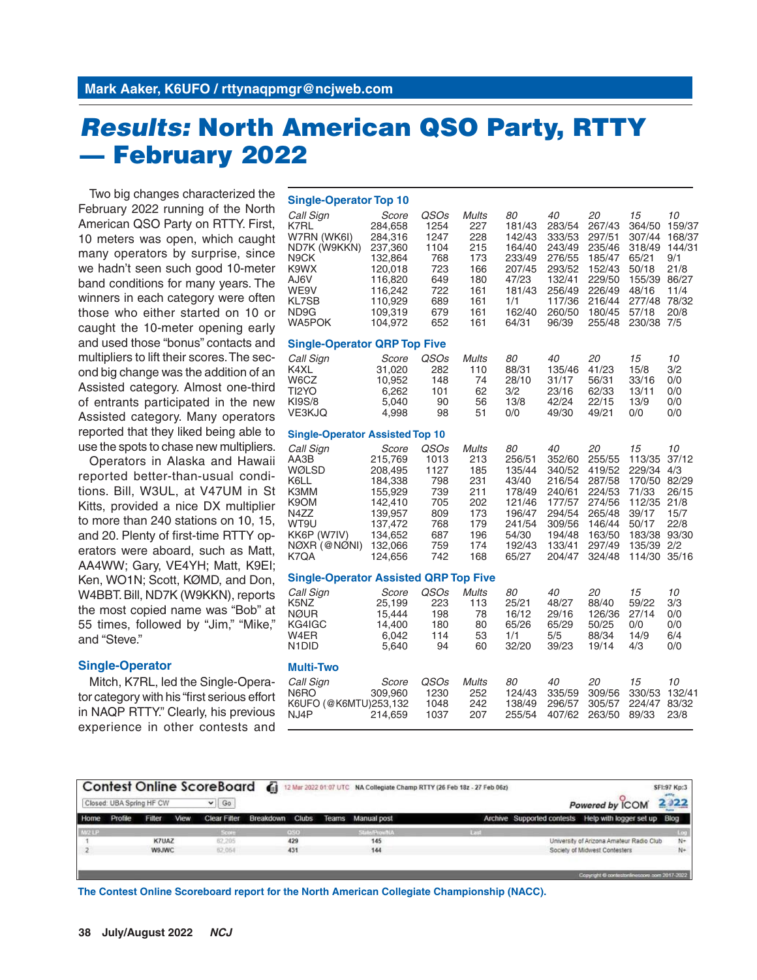# *Results:* **North American QSO Party, RTTY — February 2022**

Two big changes characterized the February 2022 running of the North American QSO Party on RTTY. First, 10 meters was open, which caught many operators by surprise, since we hadn't seen such good 10-meter band conditions for many years. The winners in each category were often those who either started on 10 or caught the 10-meter opening early and used those "bonus" contacts and multipliers to lift their scores. The second big change was the addition of an Assisted category. Almost one-third of entrants participated in the new Assisted category. Many operators reported that they liked being able to use the spots to chase new multipliers.

Operators in Alaska and Hawaii reported better-than-usual conditions. Bill, W3UL, at V47UM in St Kitts, provided a nice DX multiplier to more than 240 stations on 10, 15, and 20. Plenty of first-time RTTY operators were aboard, such as Matt, AA4WW; Gary, VE4YH; Matt, K9EI; Ken, WO1N; Scott, KØMD, and Don, W4BBT. Bill, ND7K (W9KKN), reports the most copied name was "Bob" at 55 times, followed by "Jim," "Mike," and "Steve."

# **Single-Operator**

Mitch, K7RL, led the Single-Operator category with his "first serious effort in NAQP RTTY." Clearly, his previous experience in other contests and

| <b>Single-Operator Top 10</b>                                                                                      |                                                                                                                     |                                                                               |                                                                                    |                                                                                                     |                                                                                                        |                                                                                                        |                                                                                                     |                                                                                          |  |  |  |  |  |  |
|--------------------------------------------------------------------------------------------------------------------|---------------------------------------------------------------------------------------------------------------------|-------------------------------------------------------------------------------|------------------------------------------------------------------------------------|-----------------------------------------------------------------------------------------------------|--------------------------------------------------------------------------------------------------------|--------------------------------------------------------------------------------------------------------|-----------------------------------------------------------------------------------------------------|------------------------------------------------------------------------------------------|--|--|--|--|--|--|
| Call Sign<br>K7RL<br>W7RN (WK6I)<br>ND7K (W9KKN)<br>N9CK<br>K9WX<br>AJ6V<br>WE9V<br>KL7SB<br>ND9G<br><b>WA5POK</b> | Score<br>284.658<br>284,316<br>237,360<br>132,864<br>120.018<br>116,820<br>116,242<br>110,929<br>109,319<br>104,972 | QSOs<br>1254<br>1247<br>1104<br>768<br>723<br>649<br>722<br>689<br>679<br>652 | <b>Mults</b><br>227<br>228<br>215<br>173<br>166<br>180<br>161<br>161<br>161<br>161 | 80<br>181/43<br>142/43<br>164/40<br>233/49<br>207/45<br>47/23<br>181/43<br>1/1<br>162/40<br>64/31   | 40<br>283/54<br>333/53<br>243/49<br>276/55<br>293/52<br>132/41<br>256/49<br>117/36<br>260/50<br>96/39  | 20<br>267/43<br>297/51<br>235/46<br>185/47<br>152/43<br>229/50<br>226/49<br>216/44<br>180/45<br>255/48 | 15<br>364/50<br>307/44<br>318/49<br>65/21<br>50/18<br>155/39<br>48/16<br>277/48<br>57/18<br>230/38  | 10<br>159/37<br>168/37<br>144/31<br>9/1<br>21/8<br>86/27<br>11/4<br>78/32<br>20/8<br>7/5 |  |  |  |  |  |  |
| <b>Single-Operator QRP Top Five</b>                                                                                |                                                                                                                     |                                                                               |                                                                                    |                                                                                                     |                                                                                                        |                                                                                                        |                                                                                                     |                                                                                          |  |  |  |  |  |  |
| Call Sign<br>K4XL<br>W6CZ<br>TI2YO<br>KI9S/8<br><b>VE3KJQ</b>                                                      | Score<br>31,020<br>10,952<br>6,262<br>5,040<br>4,998                                                                | QSO <sub>s</sub><br>282<br>148<br>101<br>90<br>98                             | <b>Mults</b><br>110<br>74<br>62<br>56<br>51                                        | 80<br>88/31<br>28/10<br>3/2<br>13/8<br>0/0                                                          | 40<br>135/46<br>31/17<br>23/16<br>42/24<br>49/30                                                       | 20<br>41/23<br>56/31<br>62/33<br>22/15<br>49/21                                                        | 15<br>15/8<br>33/16<br>13/11<br>13/9<br>0/0                                                         | 10<br>3/2<br>0/0<br>0/0<br>0/0<br>0/0                                                    |  |  |  |  |  |  |
| <b>Single-Operator Assisted Top 10</b>                                                                             |                                                                                                                     |                                                                               |                                                                                    |                                                                                                     |                                                                                                        |                                                                                                        |                                                                                                     |                                                                                          |  |  |  |  |  |  |
| Call Sign<br>AA3B<br>WØLSD<br>K6LL<br>КЗММ<br>K9OM<br>N4ZZ<br>WT9U<br>KK6P (W7IV)<br>NØXR (@NØNI)<br>K7QA          | Score<br>215,769<br>208,495<br>184,338<br>155,929<br>142,410<br>139,957<br>137,472<br>134,652<br>132,066<br>124,656 | QSOs<br>1013<br>1127<br>798<br>739<br>705<br>809<br>768<br>687<br>759<br>742  | Mults<br>213<br>185<br>231<br>211<br>202<br>173<br>179<br>196<br>174<br>168        | 80<br>256/51<br>135/44<br>43/40<br>178/49<br>121/46<br>196/47<br>241/54<br>54/30<br>192/43<br>65/27 | 40<br>352/60<br>340/52<br>216/54<br>240/61<br>177/57<br>294/54<br>309/56<br>194/48<br>133/41<br>204/47 | 20<br>255/55<br>419/52<br>287/58<br>224/53<br>274/56<br>265/48<br>146/44<br>163/50<br>297/49<br>324/48 | 15<br>113/35<br>229/34<br>170/50<br>71/33<br>112/35<br>39/17<br>50/17<br>183/38<br>135/39<br>114/30 | 10<br>37/12<br>4/3<br>82/29<br>26/15<br>21/8<br>15/7<br>22/8<br>93/30<br>2/2<br>35/16    |  |  |  |  |  |  |
| <b>Single-Operator Assisted QRP Top Five</b>                                                                       |                                                                                                                     |                                                                               |                                                                                    |                                                                                                     |                                                                                                        |                                                                                                        |                                                                                                     |                                                                                          |  |  |  |  |  |  |
| Call Sign<br>K5NZ<br>NØUR<br>KG4IGC<br>W4ER<br>N1DID                                                               | Score<br>25,199<br>15,444<br>14,400<br>6,042<br>5,640                                                               | QSOs<br>223<br>198<br>180<br>114<br>94                                        | <b>Mults</b><br>113<br>78<br>80<br>53<br>60                                        | 80<br>25/21<br>16/12<br>65/26<br>1/1<br>32/20                                                       | 40<br>48/27<br>29/16<br>65/29<br>5/5<br>39/23                                                          | 20<br>88/40<br>126/36<br>50/25<br>88/34<br>19/14                                                       | 15<br>59/22<br>27/14<br>0/0<br>14/9<br>4/3                                                          | 10<br>3/3<br>0/0<br>0/0<br>6/4<br>0/0                                                    |  |  |  |  |  |  |
| Multi-Two                                                                                                          |                                                                                                                     |                                                                               |                                                                                    |                                                                                                     |                                                                                                        |                                                                                                        |                                                                                                     |                                                                                          |  |  |  |  |  |  |
| Call Sign<br>N6RO<br>K6UFO (@K6MTU)253,132<br>NJ4P                                                                 | Score<br>309,960<br>214,659                                                                                         | QSOs<br>1230<br>1048<br>1037                                                  | <b>Mults</b><br>252<br>242<br>207                                                  | 80<br>124/43<br>138/49<br>255/54                                                                    | 40<br>335/59<br>296/57<br>407/62                                                                       | 20<br>309/56<br>305/57<br>263/50                                                                       | 15<br>330/53<br>224/47<br>89/33                                                                     | 10<br>132/41<br>83/32<br>23/8                                                            |  |  |  |  |  |  |

|        | Closed: UBA Spring HF CW |              |      | <b>Contest Online ScoreBoard</b><br>$\vee$ Go | $\blacksquare$ |              |                          | 12 Mar 2022 01:07 UTC NA Collegiate Champ RTTY (26 Feb 18z - 27 Feb 06z) | Powered by ICOM                                         | SFI:97 Kp:3<br>2.022 |
|--------|--------------------------|--------------|------|-----------------------------------------------|----------------|--------------|--------------------------|--------------------------------------------------------------------------|---------------------------------------------------------|----------------------|
| Home   | Profile                  | Filicin      | View | <b>Clear Filter</b>                           | Breakdown      | <b>Clubs</b> | <b>Teams</b> Manual post |                                                                          | Archive Supported contests Help with logger set up Blog |                      |
| M/2 LP |                          |              |      | Score                                         |                | 050          | State/ProwNA             | w                                                                        |                                                         | Log                  |
|        |                          | <b>KTUAZ</b> |      | 62,205                                        |                | 429          | 145                      |                                                                          | University of Arizona Amateur Radio Club                | $N+$                 |
|        |                          | W9JWC        |      | 62,064                                        |                | 431          | 144                      |                                                                          | Society of Midwest Contesters                           | $N+$                 |
|        |                          |              |      |                                               |                |              |                          |                                                                          | Copyright @ contestonlinescore.com 2017-2022            |                      |

**The Contest Online Scoreboard report for the North American Collegiate Championship (NACC).**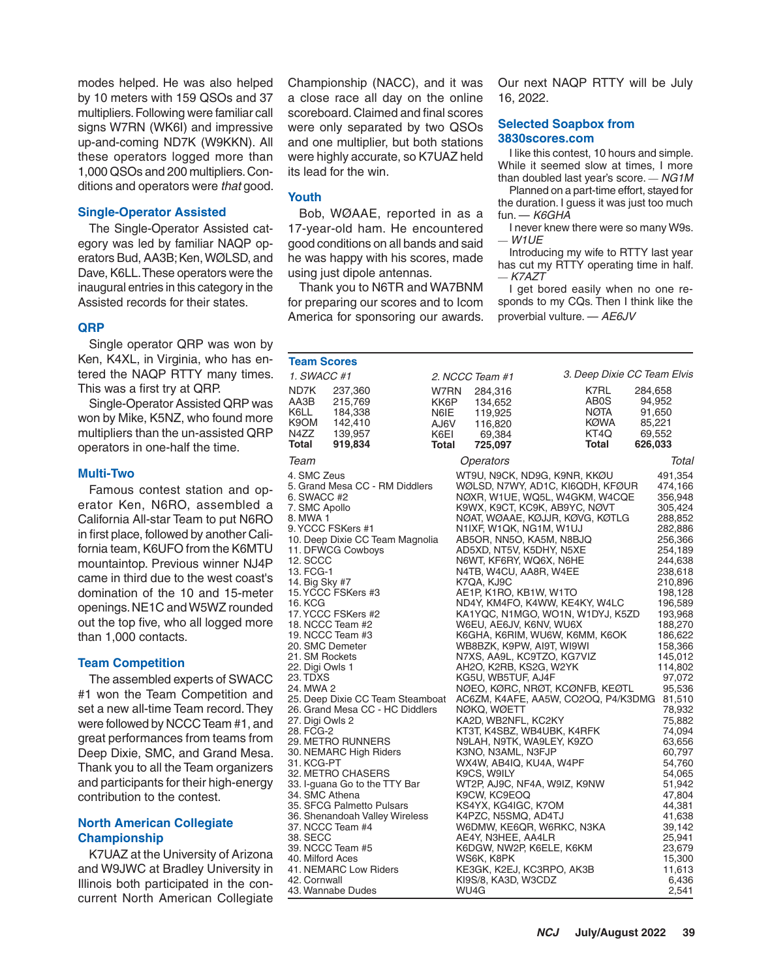modes helped. He was also helped by 10 meters with 159 QSOs and 37 multipliers. Following were familiar call signs W7RN (WK6I) and impressive up-and-coming ND7K (W9KKN). All these operators logged more than 1,000 QSOs and 200 multipliers. Conditions and operators were *that* good.

# **Single-Operator Assisted**

The Single-Operator Assisted category was led by familiar NAQP operators Bud, AA3B; Ken, WØLSD, and Dave, K6LL. These operators were the inaugural entries in this category in the Assisted records for their states.

## **QRP**

Single operator QRP was won by Ken, K4XL, in Virginia, who has entered the NAQP RTTY many times. This was a first try at QRP.

Single-Operator Assisted QRP was won by Mike, K5NZ, who found more multipliers than the un-assisted QRP operators in one-half the time.

#### **Multi-Two**

Famous contest station and operator Ken, N6RO, assembled a California All-star Team to put N6RO in first place, followed by another California team, K6UFO from the K6MTU mountaintop. Previous winner NJ4P came in third due to the west coast's domination of the 10 and 15-meter openings. NE1C and W5WZ rounded out the top five, who all logged more than 1,000 contacts.

#### **Team Competition**

The assembled experts of SWACC #1 won the Team Competition and set a new all-time Team record. They were followed by NCCC Team #1, and great performances from teams from Deep Dixie, SMC, and Grand Mesa. Thank you to all the Team organizers and participants for their high-energy contribution to the contest.

# **North American Collegiate Championship**

K7UAZ at the University of Arizona and W9JWC at Bradley University in Illinois both participated in the concurrent North American Collegiate Championship (NACC), and it was a close race all day on the online scoreboard. Claimed and final scores were only separated by two QSOs and one multiplier, but both stations were highly accurate, so K7UAZ held its lead for the win.

## **Youth**

Bob,WØAAE, reported in as a 17-year-old ham. He encountered good conditions on all bands and said he was happy with his scores, made using just dipole antennas.

Thank you to N6TR and WA7BNM for preparing our scores and to Icom America for sponsoring our awards.

Our next NAQP RTTY will be July 16, 2022.

# **Selected Soapbox from 3830scores.com**

I like this contest, 10 hours and simple. While it seemed slow at times, I more than doubled last year's score. *— NG1M*

Planned on a part-time effort, stayed for the duration. I guess it was just too much fun. — *K6GHA*

I never knew there were so many W9s. *— W1UE*

Introducing my wife to RTTY last year has cut my RTTY operating time in half. *— K7AZT*

I get bored easily when no one responds to my CQs. Then I think like the proverbial vulture. — *AE6JV*

| <b>Team Scores</b>                                                                                                                                                                                                                                                                                                                                                                                                                                                                                                                                                                                                                                                                                                                                                                                                                                        |                                               |                                                                                                                                                                                                                                                                                                                                                                                                                                                                                                                                                                                                                                                                               |                                                                                                                                                                                                                                                                                                                                                                                                                              |                                                                                                                                                                                                                                                                                                                                                                                                                     |
|-----------------------------------------------------------------------------------------------------------------------------------------------------------------------------------------------------------------------------------------------------------------------------------------------------------------------------------------------------------------------------------------------------------------------------------------------------------------------------------------------------------------------------------------------------------------------------------------------------------------------------------------------------------------------------------------------------------------------------------------------------------------------------------------------------------------------------------------------------------|-----------------------------------------------|-------------------------------------------------------------------------------------------------------------------------------------------------------------------------------------------------------------------------------------------------------------------------------------------------------------------------------------------------------------------------------------------------------------------------------------------------------------------------------------------------------------------------------------------------------------------------------------------------------------------------------------------------------------------------------|------------------------------------------------------------------------------------------------------------------------------------------------------------------------------------------------------------------------------------------------------------------------------------------------------------------------------------------------------------------------------------------------------------------------------|---------------------------------------------------------------------------------------------------------------------------------------------------------------------------------------------------------------------------------------------------------------------------------------------------------------------------------------------------------------------------------------------------------------------|
| 1. SWACC #1                                                                                                                                                                                                                                                                                                                                                                                                                                                                                                                                                                                                                                                                                                                                                                                                                                               |                                               | 2. NCCC Team #1                                                                                                                                                                                                                                                                                                                                                                                                                                                                                                                                                                                                                                                               |                                                                                                                                                                                                                                                                                                                                                                                                                              | 3. Deep Dixie CC Team Elvis                                                                                                                                                                                                                                                                                                                                                                                         |
| ND7K<br>237,360<br>AA3B<br>215,769<br>K6LL<br>184,338<br>K <sub>9</sub> OM<br>142,410<br>N4ZZ<br>139,957<br>Total<br>919,834                                                                                                                                                                                                                                                                                                                                                                                                                                                                                                                                                                                                                                                                                                                              | W7RN<br>KK6P<br>N6IE<br>AJ6V<br>K6EI<br>Total | 284,316<br>134,652<br>119,925<br>116,820<br>69,384<br>725,097                                                                                                                                                                                                                                                                                                                                                                                                                                                                                                                                                                                                                 | K7RL<br>AB0S<br>NØTA<br><b>KØWA</b><br>KT4Q<br><b>Total</b>                                                                                                                                                                                                                                                                                                                                                                  | 284,658<br>94,952<br>91,650<br>85,221<br>69,552<br>626,033                                                                                                                                                                                                                                                                                                                                                          |
| Team                                                                                                                                                                                                                                                                                                                                                                                                                                                                                                                                                                                                                                                                                                                                                                                                                                                      |                                               | Operators                                                                                                                                                                                                                                                                                                                                                                                                                                                                                                                                                                                                                                                                     |                                                                                                                                                                                                                                                                                                                                                                                                                              | Total                                                                                                                                                                                                                                                                                                                                                                                                               |
| 4. SMC Zeus<br>5. Grand Mesa CC - RM Diddlers<br>6. SWACC #2<br>7. SMC Apollo<br>8. MWA 1<br>9. YCCC FSKers #1<br>10. Deep Dixie CC Team Magnolia<br>11. DFWCG Cowboys<br><b>12. SCCC</b><br>13. FCG-1<br>14. Big Sky #7<br>15. YCCC FSKers #3<br>16. KCG<br>17. YCCC FSKers #2<br>18. NCCC Team #2<br>19. NCCC Team #3<br>20. SMC Demeter<br>21. SM Rockets<br>22. Digi Owls 1<br>23. TDXS<br>24. MWA 2<br>25. Deep Dixie CC Team Steamboat<br>26. Grand Mesa CC - HC Diddlers<br>27. Digi Owls 2<br>28. FCG-2<br>29. METRO RUNNERS<br>30. NEMARC High Riders<br>31. KCG-PT<br>32. METRO CHASERS<br>33. I-guana Go to the TTY Bar<br>34. SMC Athena<br>35. SFCG Palmetto Pulsars<br>36. Shenandoah Valley Wireless<br>37. NCCC Team #4<br>38. SECC<br>39. NCCC Team #5<br>40. Milford Aces<br>41. NEMARC Low Riders<br>42. Cornwall<br>43. Wannabe Dudes |                                               | N1IXF, W1QK, NG1M, W1UJ<br>AB5OR, NN5O, KA5M, N8BJQ<br>AD5XD, NT5V, K5DHY, N5XE<br>N6WT, KF6RY, WQ6X, N6HE<br>N4TB, W4CU, AA8R, W4EE<br>K7QA, KJ9C<br>AE1P, K1RO, KB1W, W1TO<br>W6EU, AE6JV, K6NV, WU6X<br>WB8BZK, K9PW, AI9T, WI9WI<br>N7XS, AA9L, KC9TZO, KG7VIZ<br>AH2O, K2RB, KS2G, W2YK<br>KG5U, WB5TUF, AJ4F<br>NØKQ, WØETT<br>KA2D, WB2NFL, KC2KY<br>KT3T, K4SBZ, WB4UBK, K4RFK<br>N9LAH, N9TK, WA9LEY, K9ZO<br>K3NO, N3AML, N3FJP<br>WX4W, AB4IQ, KU4A, W4PF<br>K9CS, W9ILY<br>K9CW, KC9EOQ<br>KS4YX, KG4IGC, K7OM<br>K4PZC, N5SMQ, AD4TJ<br>AE4Y, N3HEE, AA4LR<br>K6DGW, NW2P, K6ELE, K6KM<br>WS6K, K8PK<br>KE3GK, K2EJ, KC3RPO, AK3B<br>KI9S/8, KA3D, W3CDZ<br>WU4G | WT9U, N9CK, ND9G, K9NR, KKØU<br>WØLSD, N7WY, AD1C, KI6QDH, KFØUR<br>NØXR, W1UE, WQ5L, W4GKM, W4CQE<br>K9WX, K9CT, KC9K, AB9YC, NØVT<br>NØAT, WØAAE, KØJJR, KØVG, KØTLG<br>ND4Y, KM4FO, K4WW, KE4KY, W4LC<br>KA1YQC, N1MGO, WO1N, W1DYJ, K5ZD<br>K6GHA, K6RIM, WU6W, K6MM, K6OK<br>NØEO, KØRC, NRØT, KCØNFB, KEØTL<br>AC6ZM, K4AFE, AA5W, CO2OQ, P4/K3DMG 81,510<br>WT2P, AJ9C, NF4A, W9IZ, K9NW<br>W6DMW, KE6QR, W6RKC, N3KA | 491,354<br>474,166<br>356,948<br>305,424<br>288,852<br>282,886<br>256,366<br>254,189<br>244,638<br>238,618<br>210,896<br>198,128<br>196,589<br>193,968<br>188,270<br>186,622<br>158,366<br>145,012<br>114,802<br>97,072<br>95,536<br>78,932<br>75,882<br>74,094<br>63,656<br>60,797<br>54,760<br>54,065<br>51,942<br>47,804<br>44,381<br>41,638<br>39,142<br>25,941<br>23,679<br>15,300<br>11,613<br>6,436<br>2,541 |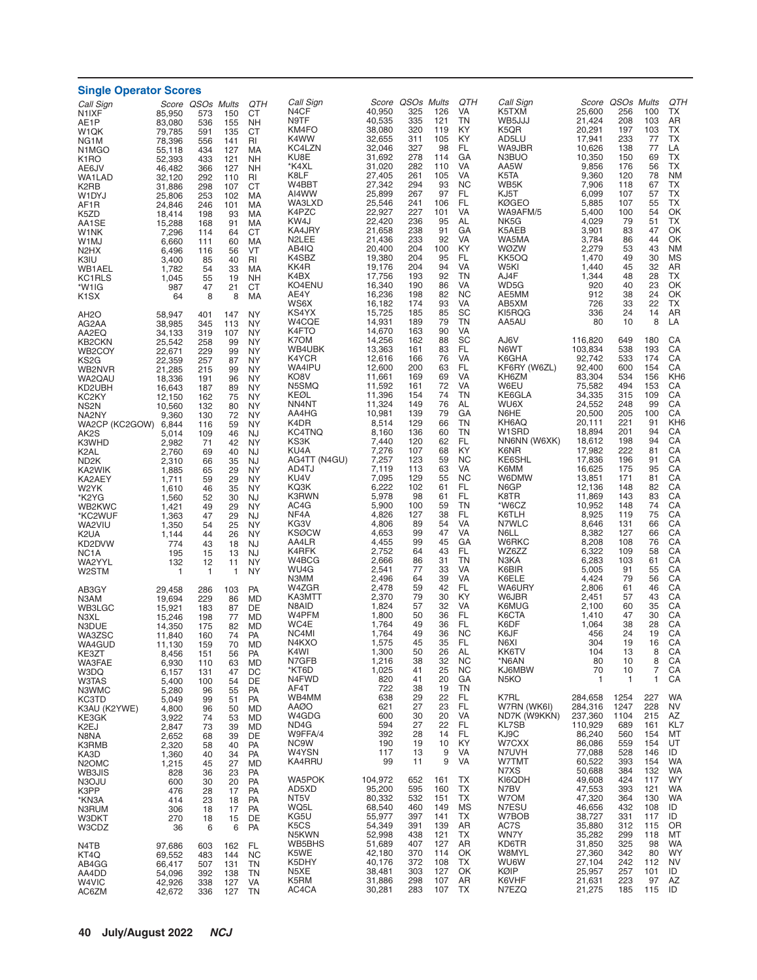| <b>Single Operator Scores</b><br>Call Sign<br>QTH<br>Call Sign<br>Score QSOs Mults<br>QTH<br>Score QSOs Mults<br>Score QSOs Mults |                  |              |            |                        |                             |                  |            |            |                        |                                    |                    |              |            |                        |
|-----------------------------------------------------------------------------------------------------------------------------------|------------------|--------------|------------|------------------------|-----------------------------|------------------|------------|------------|------------------------|------------------------------------|--------------------|--------------|------------|------------------------|
| Call Sign<br>N1IXF                                                                                                                | 85,950           | 573          | 150        | QTH<br>CТ              | N <sub>4</sub> CF           | 40,950           | 325        | 126        | VA                     | K5TXM                              | 25,600             | 256          | 100        | TX                     |
| AE1P                                                                                                                              | 83,080           | 536          | 155        | <b>NH</b>              | N9TF                        | 40,535           | 335        | 121        | TN                     | WB5JJJ                             | 21,424             | 208          | 103        | AR                     |
| W1QK                                                                                                                              | 79,785           | 591          | 135        | СT                     | KM4FO                       | 38,080           | 320        | 119        | KY                     | K5QR                               | 20,291             | 197          | 103        | <b>TX</b><br><b>TX</b> |
| NG1M<br>N <sub>1</sub> M <sub>G</sub> O                                                                                           | 78,396<br>55,118 | 556<br>434   | 141<br>127 | RI<br>MA               | K4WW<br>KC4LZN              | 32,655<br>32,046 | 311<br>327 | 105<br>98  | KY<br>FL               | AD5LU<br>WA9JBR                    | 17,941<br>10,626   | 233<br>138   | 77<br>77   | LA                     |
| K <sub>1</sub> RO                                                                                                                 | 52,393           | 433          | 121        | <b>NH</b>              | KU8E                        | 31,692           | 278        | 114        | GA                     | N3BUO                              | 10,350             | 150          | 69         | <b>TX</b>              |
| AE6JV                                                                                                                             | 46,482           | 366          | 127        | <b>NH</b>              | *K4XL<br>K8LF               | 31,020<br>27,405 | 282<br>261 | 110<br>105 | <b>VA</b><br>VA        | AA5W<br>K <sub>5</sub> TA          | 9,856<br>9,360     | 176<br>120   | 56<br>78   | TX<br><b>NM</b>        |
| <b>WA1LAD</b><br>K2RB                                                                                                             | 32,120<br>31,886 | 292<br>298   | 110<br>107 | RI<br>CT               | W4BBT                       | 27,342           | 294        | 93         | <b>NC</b>              | WB5K                               | 7,906              | 118          | 67         | TX                     |
| W1DYJ                                                                                                                             | 25,806           | 253          | 102        | MA                     | AI4WW                       | 25,899           | 267        | 97         | FL                     | KJ5T                               | 6,099              | 107          | 57         | <b>TX</b>              |
| AF1R                                                                                                                              | 24,846           | 246<br>198   | 101<br>93  | MA<br>MA               | WA3LXD<br>K4PZC             | 25,546<br>22,927 | 241<br>227 | 106<br>101 | FL<br>VA               | <b>KØGEO</b><br>WA9AFM/5           | 5,885<br>5,400     | 107<br>100   | 55<br>54   | TX<br>OK               |
| K5ZD<br>AA1SE                                                                                                                     | 18,414<br>15,288 | 168          | 91         | MA                     | KW4J                        | 22.420           | 236        | 95         | AL                     | NK5G                               | 4,029              | 79           | 51         | ТX                     |
| W1NK                                                                                                                              | 7,296            | 114          | 64         | СT                     | KA4JRY                      | 21,658           | 238        | 91         | GA<br>VA               | K5AEB                              | 3,901              | 83           | 47<br>44   | OK<br>OK               |
| W1MJ<br>N <sub>2</sub> HX                                                                                                         | 6,660<br>6,496   | 111<br>116   | 60<br>56   | МA<br>VT               | N <sub>2</sub> LEE<br>AB4IQ | 21,436<br>20,400 | 233<br>204 | 92<br>100  | KY                     | WA5MA<br><b>WØZW</b>               | 3,784<br>2,279     | 86<br>53     | 43         | <b>NM</b>              |
| K3IU                                                                                                                              | 3,400            | 85           | 40         | RI                     | K4SBZ                       | 19,380           | 204        | 95         | FL                     | KK5OQ                              | 1,470              | 49           | 30         | MS                     |
| WB1AEL                                                                                                                            | 1,782            | 54           | 33         | MA                     | KK4R<br>K4BX                | 19,176<br>17,756 | 204<br>193 | 94<br>92   | VA<br><b>TN</b>        | W5KI<br>AJ4F                       | 1,440<br>1,344     | 45<br>48     | 32<br>28   | AR<br>TX               |
| KC1RLS<br>*W1IG                                                                                                                   | 1,045<br>987     | 55<br>47     | 19<br>21   | <b>NH</b><br><b>CT</b> | KO4ENU                      | 16,340           | 190        | 86         | VA                     | WD5G                               | 920                | 40           | 23         | OK                     |
| K <sub>1</sub> SX                                                                                                                 | 64               | 8            | 8          | MA                     | AE4Y                        | 16,236           | 198        | 82         | <b>NC</b>              | AE5MM                              | 912                | 38           | 24         | OK                     |
| AH2O                                                                                                                              | 58,947           | 401          | 147        | NY                     | WS6X<br>KS4YX               | 16,182<br>15,725 | 174<br>185 | 93<br>85   | VA<br>SC               | AB5XM<br>KI5RQG                    | 726<br>336         | 33<br>24     | 22<br>14   | ТX<br>AR               |
| AG2AA                                                                                                                             | 38,985           | 345          | 113        | <b>NY</b>              | W4CQE                       | 14,931           | 189        | 79         | TN                     | AA5AU                              | 80                 | 10           | 8          | LA                     |
| AA2EQ                                                                                                                             | 34,133           | 319          | 107        | NY                     | K4FTO<br>K7OM               | 14,670<br>14,256 | 163<br>162 | 90<br>88   | VA<br>SC               | AJ6V                               |                    | 649          | 180        | CA                     |
| KB2CKN<br>WB2COY                                                                                                                  | 25,542<br>22,671 | 258<br>229   | 99<br>99   | <b>NY</b><br><b>NY</b> | WB4UBK                      | 13,363           | 161        | 83         | FL                     | N6WT                               | 116,820<br>103,834 | 538          | 193        | CA                     |
| KS2G                                                                                                                              | 22,359           | 257          | 87         | NY                     | K4YCR                       | 12,616           | 166        | 76         | VA                     | K6GHA                              | 92,742             | 533          | 174        | CA                     |
| WB2NVR                                                                                                                            | 21,285           | 215          | 99         | <b>NY</b>              | WA4IPU<br>KO8V              | 12,600<br>11,661 | 200<br>169 | 63<br>69   | FL<br>VA               | KF6RY (W6ZL)<br>KH6ZM              | 92,400<br>83,304   | 600<br>534   | 154<br>156 | CA<br>KH <sub>6</sub>  |
| WA2QAU<br>KD2UBH                                                                                                                  | 18,336<br>16,643 | 191<br>187   | 96<br>89   | NY<br><b>NY</b>        | N5SMQ                       | 11,592           | 161        | 72         | VA                     | W6EU                               | 75,582             | 494          | 153        | CA                     |
| KC <sub>2</sub> KY                                                                                                                | 12,150           | 162          | 75         | NY                     | KEØL                        | 11,396           | 154        | 74         | TN                     | KE6GLA                             | 34,335             | 315          | 109        | CA                     |
| NS2N<br>NA2NY                                                                                                                     | 10,560<br>9,360  | 132<br>130   | 80<br>72   | <b>NY</b><br>NY        | NN4NT<br>AA4HG              | 11,324<br>10,981 | 149<br>139 | 76<br>79   | AL<br>GA               | WU6X<br>N6HE                       | 24,552<br>20,500   | 248<br>205   | 99<br>100  | CA<br>CA               |
| WA2CP (KC2GOW) 6,844                                                                                                              |                  | 116          | 59         | <b>NY</b>              | K4DR                        | 8,514            | 129        | 66         | TN                     | KH6AQ                              | 20,111             | 221          | 91         | KH <sub>6</sub>        |
| AK2S                                                                                                                              | 5,014            | 109          | 46         | NJ                     | KC4TNQ<br>KS3K              | 8,160<br>7,440   | 136<br>120 | 60<br>62   | TN<br>FL               | W <sub>1</sub> SRD<br>NN6NN (W6XK) | 18,894<br>18,612   | 201<br>198   | 94<br>94   | CA<br>CA               |
| K3WHD<br>K <sub>2</sub> AL                                                                                                        | 2,982<br>2,760   | 71<br>69     | 42<br>40   | NY<br><b>NJ</b>        | KU4A                        | 7,276            | 107        | 68         | KY                     | K6NR                               | 17,982             | 222          | 81         | CA                     |
| ND <sub>2</sub> K                                                                                                                 | 2,310            | 66           | 35         | <b>NJ</b>              | AG4TT (N4GU)                | 7,257            | 123        | 59         | <b>NC</b>              | KE6SHL                             | 17,836             | 196          | 91         | CA                     |
| KA2WIK<br>KA2AEY                                                                                                                  | 1,885<br>1,711   | 65<br>59     | 29<br>29   | <b>NY</b><br><b>NY</b> | AD4TJ<br>KU4V               | 7,119<br>7,095   | 113<br>129 | 63<br>55   | VA<br><b>NC</b>        | K6MM<br>W6DMW                      | 16,625<br>13,851   | 175<br>171   | 95<br>81   | CA<br>CA               |
| W2YK                                                                                                                              | 1,610            | 46           | 35         | NY                     | KQ3K                        | 6,222            | 102        | 61         | FL                     | N6GP                               | 12,136             | 148          | 82         | CA                     |
| *K2YG                                                                                                                             | 1,560            | 52           | 30         | <b>NJ</b>              | K3RWN                       | 5,978            | 98<br>100  | 61<br>59   | FL<br>TN               | K8TR<br>*W6CZ                      | 11,869             | 143<br>148   | 83<br>74   | CA<br>CA               |
| WB2KWC<br>*KC2WUF                                                                                                                 | 1,421<br>1,363   | 49<br>47     | 29<br>29   | <b>NY</b><br><b>NJ</b> | AC4G<br>NF4A                | 5,900<br>4,826   | 127        | 38         | FL                     | K6TLH                              | 10,952<br>8,925    | 119          | 75         | CA                     |
| WA2VIU                                                                                                                            | 1,350            | 54           | 25         | <b>NY</b>              | KG3V                        | 4,806            | 89         | 54         | VA                     | N7WLC                              | 8,646              | 131          | 66         | CA                     |
| K2UA                                                                                                                              | 1,144            | 44           | 26         | <b>NY</b>              | <b>KSØCW</b><br>AA4LR       | 4,653<br>4,455   | 99<br>99   | 47<br>45   | VA<br>GA               | N6LL<br>W6RKC                      | 8,382<br>8,208     | 127<br>108   | 66<br>76   | CA<br>CA               |
| KD2DVW<br>NC <sub>1</sub> A                                                                                                       | 774<br>195       | 43<br>15     | 18<br>13   | <b>NJ</b><br>NJ        | K4RFK                       | 2,752            | 64         | 43         | FL                     | WZ6ZZ                              | 6,322              | 109          | 58         | CA                     |
| WA2YYL                                                                                                                            | 132              | 12           | 11         | <b>NY</b>              | W4BCG                       | 2,666            | 86         | 31         | TN                     | N3KA                               | 6,283              | 103          | 61         | CA                     |
| W2STM                                                                                                                             | 1                | $\mathbf{1}$ | 1          | NY                     | WU4G<br>N3MM                | 2,541<br>2,496   | 77<br>64   | 33<br>39   | <b>VA</b><br>VA        | K6BIR<br>K6ELE                     | 5,005<br>4,424     | 91<br>79     | 55<br>56   | CA<br>CA               |
| AB3GY                                                                                                                             | 29.458           | 286          | 103        | PA                     | W4ZGR                       | 2,478            | 59         | 42         | FL                     | WA6URY                             | 2,806              | 61           | 46         | CA                     |
| N3AM                                                                                                                              | 19,694           | 229          | 86         | MD                     | KA3MTT<br>N8AID             | 2,370<br>1,824   | 79<br>57   | 30<br>32   | KY<br>VA               | W6JBR<br>K6MUG                     | 2,451<br>2,100     | 57<br>60     | 43<br>35   | CA<br>CA               |
| WB3LGC<br>N3XL                                                                                                                    | 15,921<br>15,246 | 183<br>198   | 87<br>77   | DE<br>MD               | W4PFM                       | 1,800            | 50         | 36         | FL                     | K6CTA                              | 1,410              | 47           | 30         | CA                     |
| N3DUE                                                                                                                             | 14,350           | 175          | 82         | MD                     | WC4E                        | 1,764            | 49         | 36         | FL.                    | K6DF                               | 1,064              | 38           | 28         | CA                     |
| WA3ZSC<br>WA4GUD                                                                                                                  | 11,840<br>11,130 | 160<br>159   | 74<br>70   | <b>PA</b><br>MD        | NC4MI<br>N4KXO              | 1,764<br>1,575   | 49<br>45   | 36<br>35   | <b>NC</b><br>FL        | K6JF<br>N6XI                       | 456<br>304         | 24<br>19     | 19<br>16   | CA<br>СA               |
| KE3ZT                                                                                                                             | 8,456            | 151          | 56         | <b>PA</b>              | K4WI                        | 1,300            | 50         | 26         | AL                     | KK6TV                              | 104                | 13           | 8          | CA                     |
| WA3FAE                                                                                                                            | 6,930            | 110          | 63         | MD                     | N7GFB<br>*KT6D              | 1,216<br>1,025   | 38<br>41   | 32<br>25   | <b>NC</b><br><b>NC</b> | *N6AN<br>KJ6MBW                    | 80<br>70           | 10<br>10     | 8<br>7     | CA<br>CA               |
| W3DQ<br>W3TAS                                                                                                                     | 6,157<br>5,400   | 131<br>100   | 47<br>54   | DC<br>DE               | N4FWD                       | 820              | 41         | 20         | GA                     | N <sub>5</sub> KO                  | 1                  | $\mathbf{1}$ | 1          | CA                     |
| N3WMC                                                                                                                             | 5,280            | 96           | 55         | PA                     | AF4T                        | 722              | 38         | 19         | TN                     |                                    |                    |              |            |                        |
| KC3TD                                                                                                                             | 5,049            | 99           | 51         | PA                     | WB4MM<br><b>AAØO</b>        | 638<br>621       | 29<br>27   | 22<br>23   | FL<br>FL               | K7RL<br>W7RN (WK6I)                | 284,658<br>284.316 | 1254<br>1247 | 227<br>228 | WA<br><b>NV</b>        |
| K3AU (K2YWE)<br>KE3GK                                                                                                             | 4,800<br>3,922   | 96<br>74     | 50<br>53   | MD<br>MD               | W4GDG                       | 600              | 30         | 20         | VA                     | ND7K (W9KKN)                       | 237,360            | 1104         | 215        | AZ                     |
| K2EJ                                                                                                                              | 2,847            | 73           | 39         | MD                     | ND4G                        | 594              | 27         | 22         | FL                     | <b>KL7SB</b>                       | 110,929            | 689          | 161        | KL7                    |
| N8NA<br>K3RMB                                                                                                                     | 2,652<br>2,320   | 68<br>58     | 39<br>40   | DE<br>PA               | W9FFA/4<br>NC9W             | 392<br>190       | 28<br>19   | 14<br>10   | FL<br>KY               | KJ9C<br>W7CXX                      | 86,240<br>86,086   | 560<br>559   | 154<br>154 | MT<br>UT               |
| KA3D                                                                                                                              | 1,360            | 40           | 34         | PA                     | W4YSN                       | 117              | 13         | 9          | VA                     | N7UVH                              | 77,088             | 528          | 146        | ID                     |
| N <sub>2</sub> OM <sub>C</sub>                                                                                                    | 1,215            | 45           | 27         | MD                     | KA4RRU                      | 99               | 11         | 9          | VA                     | W7TMT<br>N7XS                      | 60,522<br>50,688   | 393<br>384   | 154<br>132 | <b>WA</b><br><b>WA</b> |
| WB3JIS<br>N3OJU                                                                                                                   | 828<br>600       | 36<br>30     | 23<br>20   | PA<br>PA               | WA5POK                      | 104,972          | 652        | 161        | ТX                     | KI6QDH                             | 49,608             | 424          | 117        | <b>WY</b>              |
| K3PP                                                                                                                              | 476              | 28           | 17         | PA                     | AD5XD                       | 95,200           | 595        | 160        | ТX                     | N7BV                               | 47,553             | 393          | 121        | WA                     |
| *KN3A<br>N3RUM                                                                                                                    | 414<br>306       | 23<br>18     | 18<br>17   | PA<br>PA               | NT5V<br>WQ5L                | 80,332<br>68,540 | 532<br>460 | 151<br>149 | ТX<br>MS               | W7OM<br>N7ESU                      | 47,320<br>46,656   | 364<br>432   | 130<br>108 | WA<br>ID               |
| W3DKT                                                                                                                             | 270              | 18           | 15         | DE                     | KG5U                        | 55,977           | 397        | 141        | TX                     | W7BOB                              | 38,727             | 331          | 117        | ID                     |
| W3CDZ                                                                                                                             | 36               | 6            | 6          | PA                     | K5CS<br>N5KWN               | 54,349<br>52,998 | 391<br>438 | 139<br>121 | AR<br>TX               | AC7S<br>WN7Y                       | 35,880<br>35,282   | 312<br>299   | 115<br>118 | OR<br>МT               |
| N4TB                                                                                                                              | 97,686           | 603          | 162        | FL.                    | WB5BHS                      | 51,689           | 407        | 127        | AR                     | KD6TR                              | 31,850             | 325          | 98         | <b>WA</b>              |
| KT4Q                                                                                                                              | 69,552           | 483          | 144        | <b>NC</b>              | K5WE                        | 42,180           | 370        | 114        | OK                     | W8MYL                              | 27,360             | 342          | 80         | <b>WY</b>              |
| AB4GG<br>AA4DD                                                                                                                    | 66,417<br>54,096 | 507<br>392   | 131<br>138 | TN<br>TN               | K5DHY<br>N5XE               | 40,176<br>38,481 | 372<br>303 | 108<br>127 | TX<br>OK               | <b>WU6W</b><br>KØIP                | 27,104<br>25,957   | 242<br>257   | 112<br>101 | <b>NV</b><br>ID        |
| W4VIC                                                                                                                             | 42,926           | 338          | 127        | VA                     | K5RM                        | 31,886           | 298        | 107        | AR                     | K6VHF                              | 21,631             | 223          | 97         | AZ                     |
| AC6ZM                                                                                                                             | 42,672           | 336          | 127        | <b>TN</b>              | AC4CA                       | 30,281           | 283        | 107        | TX                     | N7EZQ                              | 21,275             | 185          | 115        | ID                     |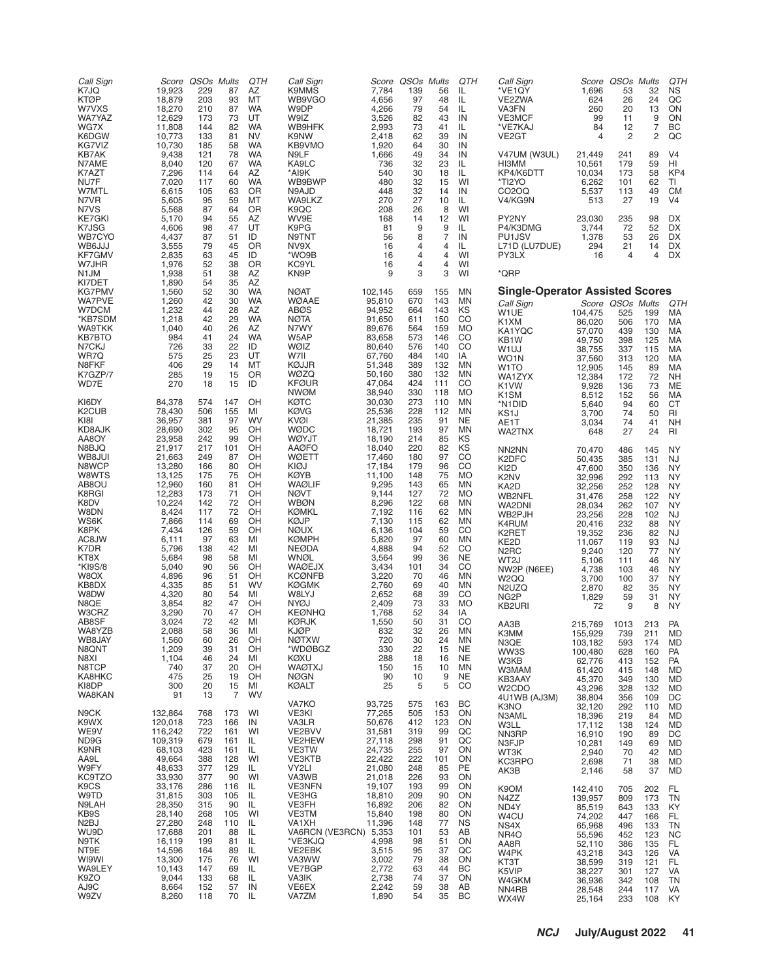| Call Sign<br>K7JQ<br><b>KTØP</b><br>W7VXS<br>WA7YAZ<br>WG7X<br>K6DGW<br>KG7VIZ                                                                                    | 19,923<br>18,879<br>18,270<br>12,629<br>11,808<br>10,773<br>10,730                                                                                                             | Score QSOs Mults<br>229<br>203<br>210<br>173<br>144<br>133<br>185                                                         | 87<br>93<br>87<br>73<br>82<br>81<br>58                                                                          | QTH<br>AZ<br>MT<br><b>WA</b><br>UT<br><b>WA</b><br><b>NV</b><br><b>WA</b>                                             | Call Sign<br>K9MMS<br>WB9VGO<br>W9DP<br>W9IZ<br>WB9HFK<br>K9NW<br>KB9VMO                                                                                                                                                                         | 7,784<br>4,656<br>4,266<br>3,526<br>2,993<br>2,418<br>1,920                                                                                                                 | Score QSOs Mults<br>139<br>97<br>79<br>82<br>73<br>62<br>64                                                               | 56<br>48<br>54<br>43<br>41<br>39<br>30                                                                         | QTH<br>IL<br>IL<br>IL<br>IN<br>IL<br>IN<br>IN                                                                                                                                        | Call Sign<br>*VE1QY<br>VE2ZWA<br>VA3FN<br><b>VE3MCF</b><br>*VE7KAJ<br>VE <sub>2</sub> GT                                                                                                                                                                                                                      | 1,696<br>624<br>260<br>99<br>84<br>4                                                                                                                                   | Score QSOs Mults<br>53<br>26<br>20<br>11<br>12<br>$\overline{2}$                                                       | 32<br>24<br>13<br>9<br>7<br>2                                                                                   | QTH<br><b>NS</b><br>QC<br>ON<br>ON<br>ВC<br>QC                                                                                                                                                                           |
|-------------------------------------------------------------------------------------------------------------------------------------------------------------------|--------------------------------------------------------------------------------------------------------------------------------------------------------------------------------|---------------------------------------------------------------------------------------------------------------------------|-----------------------------------------------------------------------------------------------------------------|-----------------------------------------------------------------------------------------------------------------------|--------------------------------------------------------------------------------------------------------------------------------------------------------------------------------------------------------------------------------------------------|-----------------------------------------------------------------------------------------------------------------------------------------------------------------------------|---------------------------------------------------------------------------------------------------------------------------|----------------------------------------------------------------------------------------------------------------|--------------------------------------------------------------------------------------------------------------------------------------------------------------------------------------|---------------------------------------------------------------------------------------------------------------------------------------------------------------------------------------------------------------------------------------------------------------------------------------------------------------|------------------------------------------------------------------------------------------------------------------------------------------------------------------------|------------------------------------------------------------------------------------------------------------------------|-----------------------------------------------------------------------------------------------------------------|--------------------------------------------------------------------------------------------------------------------------------------------------------------------------------------------------------------------------|
| KB7AK<br>N7AME<br>K7AZT<br>NU7F<br>W7MTL<br>N7VR<br>N7VS                                                                                                          | 9,438<br>8,040<br>7,296<br>7,020<br>6,615<br>5,605<br>5,568                                                                                                                    | 121<br>120<br>114<br>117<br>105<br>95<br>87                                                                               | 78<br>67<br>64<br>60<br>63<br>59<br>64                                                                          | <b>WA</b><br><b>WA</b><br>AZ<br><b>WA</b><br>0R<br>MT<br>0R                                                           | N9LF<br>KA9LC<br>*AI9K<br>WB9BWP<br>N9AJD<br>WA9LKZ<br>K9QC                                                                                                                                                                                      | 1,666<br>736<br>540<br>480<br>448<br>270<br>208                                                                                                                             | 49<br>32<br>30<br>32<br>32<br>27<br>26                                                                                    | 34<br>23<br>18<br>15<br>14<br>10<br>8                                                                          | IN<br>IL<br>IL<br>WI<br>IN<br>IL<br>WI                                                                                                                                               | V47UM (W3UL)<br>HI3MM<br>KP4/K6DTT<br>*TI2YO<br>CO <sub>2</sub> OQ<br>V4/KG9N                                                                                                                                                                                                                                 | 21.449<br>10,561<br>10,034<br>6,262<br>5,537<br>513                                                                                                                    | 241<br>179<br>173<br>101<br>113<br>27                                                                                  | 89<br>59<br>58<br>62<br>49<br>19                                                                                | V4<br>HI<br>KP4<br>ΤI<br><b>CM</b><br>V <sub>4</sub>                                                                                                                                                                     |
| <b>KE7GKI</b><br>K7JSG<br>WB7CYO<br>WB6JJJ<br>KF7GMV<br>W7JHR<br>N <sub>1</sub> JM                                                                                | 5,170<br>4,606<br>4,437<br>3,555<br>2,835<br>1,976<br>1,938                                                                                                                    | 94<br>98<br>87<br>79<br>63<br>52<br>51                                                                                    | 55<br>47<br>51<br>45<br>45<br>38<br>38                                                                          | AZ<br>UT<br>ID<br>OR<br>ID<br>OR<br>AZ                                                                                | WV9E<br>K9PG<br>N9TNT<br>NV9X<br>*WO9B<br>KC9YL<br>KN9P                                                                                                                                                                                          | 168<br>81<br>56<br>16<br>16<br>16<br>9                                                                                                                                      | 14<br>9<br>8<br>4<br>4<br>4<br>3                                                                                          | 12<br>9<br>$\overline{7}$<br>4<br>4<br>4<br>3                                                                  | WI<br>IL.<br>IN<br>IL.<br>WI<br>WI<br>WI                                                                                                                                             | PY2NY<br>P4/K3DMG<br>PU1JSV<br>L71D (LU7DUE)<br>PY3LX<br>*QRP                                                                                                                                                                                                                                                 | 23,030<br>3,744<br>1,378<br>294<br>16                                                                                                                                  | 235<br>72<br>53<br>21<br>4                                                                                             | 98<br>52<br>26<br>14<br>$\overline{4}$                                                                          | DX<br><b>DX</b><br>DX<br>DX<br>DX                                                                                                                                                                                        |
| KI7DET<br><b>KG7PMV</b>                                                                                                                                           | 1,890<br>1,560                                                                                                                                                                 | 54<br>52                                                                                                                  | 35<br>30                                                                                                        | AZ<br><b>WA</b>                                                                                                       | <b>NØAT</b>                                                                                                                                                                                                                                      | 102,145                                                                                                                                                                     | 659                                                                                                                       | 155                                                                                                            | <b>MN</b>                                                                                                                                                                            | <b>Single-Operator Assisted Scores</b>                                                                                                                                                                                                                                                                        |                                                                                                                                                                        |                                                                                                                        |                                                                                                                 |                                                                                                                                                                                                                          |
| <b>WA7PVE</b><br>W7DCM<br>*KB7SDM<br>WA9TKK<br><b>KB7BTO</b><br>N7CKJ<br>WR7Q<br>N8FKF<br>K7GZP/7<br>WD7E                                                         | 1,260<br>1,232<br>1,218<br>1,040<br>984<br>726<br>575<br>406<br>285<br>270                                                                                                     | 42<br>44<br>42<br>40<br>41<br>33<br>25<br>29<br>19<br>18                                                                  | 30<br>28<br>29<br>26<br>24<br>22<br>23<br>14<br>15<br>15                                                        | <b>WA</b><br>AZ<br><b>WA</b><br>AZ<br><b>WA</b><br>ID<br>UT<br>МT<br>OR<br>ID                                         | <b>WØAAE</b><br>ABØS<br><b>NØTA</b><br>N7WY<br>W5AP<br>WØIZ<br>W7II<br>KØJJR<br>WØZQ<br>KFØUR                                                                                                                                                    | 95,810<br>94,952<br>91,650<br>89,676<br>83,658<br>80,640<br>67,760<br>51,348<br>50,160<br>47,064                                                                            | 670<br>664<br>611<br>564<br>573<br>576<br>484<br>389<br>380<br>424                                                        | 143<br>143<br>150<br>159<br>146<br>140<br>140<br>132<br>132<br>111                                             | <b>MN</b><br>ΚS<br>CO<br><b>MO</b><br>CO<br>CO<br>IA<br><b>MN</b><br><b>MN</b><br>CO                                                                                                 | Call Sign<br>W1UE<br>K1XM<br>KA1YQC<br>KB1W<br>W <sub>1UJ</sub><br>WO <sub>1</sub> N<br>W1TO<br>WA1ZYX<br>K <sub>1</sub> VW                                                                                                                                                                                   | 104,475<br>86,020<br>57,070<br>49,750<br>38,755<br>37,560<br>12,905<br>12,384<br>9,928                                                                                 | Score QSOs Mults<br>525<br>506<br>439<br>398<br>337<br>313<br>145<br>172<br>136                                        | 199<br>170<br>130<br>125<br>115<br>120<br>89<br>72<br>73                                                        | QTH<br>МA<br>MA<br>MA<br>MA<br>MA<br>MA<br>МA<br>NΗ<br>ME                                                                                                                                                                |
| KI6DY<br>K2CUB<br>KI8I<br>KD8AJK<br>AA8OY                                                                                                                         | 84,378<br>78,430<br>36,957<br>28,690<br>23,958                                                                                                                                 | 574<br>506<br>381<br>302<br>242                                                                                           | 147<br>155<br>97<br>95<br>99                                                                                    | OH<br>MI<br>WV<br>OH<br>OH                                                                                            | <b>NWØM</b><br>KØTC<br>KØVG<br>KVØI<br>WØDC<br>WØYJT                                                                                                                                                                                             | 38,940<br>30,030<br>25,536<br>21,385<br>18,721<br>18,190                                                                                                                    | 330<br>273<br>228<br>235<br>193<br>214                                                                                    | 118<br>110<br>112<br>91<br>97<br>85                                                                            | <b>MO</b><br><b>MN</b><br><b>MN</b><br><b>NE</b><br><b>MN</b><br>KS                                                                                                                  | K <sub>1</sub> SM<br>*N1DID<br>KS1J<br>AE1T<br>WA2TNX                                                                                                                                                                                                                                                         | 8,512<br>5,640<br>3,700<br>3,034<br>648                                                                                                                                | 152<br>94<br>74<br>74<br>27                                                                                            | 56<br>60<br>50<br>41<br>24                                                                                      | МA<br>СT<br>RI<br><b>NH</b><br>RI                                                                                                                                                                                        |
| N8BJQ<br>WB8JUI<br>N8WCP<br>W8WTS<br>AB8OU<br>K8RGI<br>K8DV<br>W8DN<br>WS6K<br>K8PK<br>AC8JW<br>K7DR<br>KT8X<br>*KI9S/8<br>W8OX<br>KB8DX<br>W8DW<br>N8QE<br>W3CRZ | 21,917<br>21,663<br>13,280<br>13,125<br>12,960<br>12,283<br>10,224<br>8,424<br>7,866<br>7,434<br>6,111<br>5,796<br>5,684<br>5,040<br>4,896<br>4,335<br>4,320<br>3,854<br>3,290 | 217<br>249<br>166<br>175<br>160<br>173<br>142<br>117<br>114<br>126<br>97<br>138<br>98<br>90<br>96<br>85<br>80<br>82<br>70 | 101<br>87<br>80<br>75<br>81<br>71<br>72<br>72<br>69<br>59<br>63<br>42<br>58<br>56<br>51<br>51<br>54<br>47<br>47 | OH<br>OH<br>OH<br>OH<br>OH<br>OH<br>OH<br>OH<br>OH<br>OH<br>MI<br>MI<br>MI<br>OH<br>OH<br><b>WV</b><br>MI<br>OH<br>OH | AAØFO<br>WØETT<br>KIØJ<br><b>KØYB</b><br><b>WAØLIF</b><br><b>NØVT</b><br>WBØN<br><b>KØMKL</b><br>KØJP<br><b>NØUX</b><br><b>KØMPH</b><br><b>NEØDA</b><br>WNØL<br><b>WAØEJX</b><br><b>KCØNFB</b><br><b>KØGMK</b><br>W8LYJ<br>NYØJ<br><b>KEØNHQ</b> | 18,040<br>17,460<br>17,184<br>11,100<br>9,295<br>9,144<br>8,296<br>7,192<br>7,130<br>6,136<br>5,820<br>4,888<br>3,564<br>3,434<br>3,220<br>2,760<br>2,652<br>2,409<br>1,768 | 220<br>180<br>179<br>148<br>143<br>127<br>122<br>116<br>115<br>104<br>97<br>94<br>99<br>101<br>70<br>69<br>68<br>73<br>52 | 82<br>97<br>96<br>75<br>65<br>72<br>68<br>62<br>62<br>59<br>60<br>52<br>36<br>34<br>46<br>40<br>39<br>33<br>34 | ΚS<br>CO<br>CO<br><b>MO</b><br><b>MN</b><br><b>MO</b><br><b>MN</b><br><b>MN</b><br><b>MN</b><br>CO<br><b>MN</b><br>CO<br><b>NE</b><br>CO<br>MN<br><b>MN</b><br>CO<br><b>MO</b><br>IA | NN <sub>2</sub> N <sub>N</sub><br>K <sub>2</sub> DF <sub>C</sub><br>KI <sub>2</sub> D<br>K <sub>2</sub> NV<br>KA2D<br>WB2NFL<br>WA2DNI<br>WB2PJH<br>K4RUM<br>K2RET<br>KE2D<br>N <sub>2</sub> RC<br>WT2J<br>NW2P (N6EE)<br>W <sub>2</sub> QQ<br>N <sub>2</sub> U <sub>Z</sub> Q<br>NG <sub>2</sub> P<br>KB2URI | 70,470<br>50,435<br>47,600<br>32,996<br>32,256<br>31,476<br>28,034<br>23,256<br>20,416<br>19,352<br>11,067<br>9,240<br>5,106<br>4,738<br>3,700<br>2,870<br>1,829<br>72 | 486<br>385<br>350<br>292<br>252<br>258<br>262<br>228<br>232<br>236<br>119<br>120<br>111<br>103<br>100<br>82<br>59<br>9 | 145<br>131<br>136<br>113<br>128<br>122<br>107<br>102<br>88<br>82<br>93<br>77<br>46<br>46<br>37<br>35<br>31<br>8 | <b>NY</b><br><b>NJ</b><br><b>NY</b><br><b>NY</b><br><b>NY</b><br><b>NY</b><br><b>NY</b><br><b>NJ</b><br><b>NY</b><br>NJ<br><b>NJ</b><br><b>NY</b><br><b>NY</b><br><b>NY</b><br><b>NY</b><br><b>NY</b><br>ΝY<br><b>NY</b> |
| AB8SF<br>WA8YZB<br>WB8JAY<br>N8QNT<br>N8XI<br>N8TCP<br>KA8HKC<br>KI8DP<br>WA8KAN                                                                                  | 3,024<br>2,088<br>1,560<br>1,209<br>1,104<br>740<br>475<br>300<br>91                                                                                                           | 72<br>58<br>60<br>39<br>46<br>37<br>25<br>20<br>13                                                                        | 42<br>36<br>26<br>31<br>24<br>20<br>19<br>15<br>$\overline{7}$                                                  | MI<br>MI<br>OH<br>OH<br>MI<br>OH<br>OH<br>MI<br><b>WV</b>                                                             | KØRJK<br>KJØP<br>NØTXW<br>*WDØBGZ<br>KØXU<br>WAØTXJ<br>NØGN<br><b>KØALT</b>                                                                                                                                                                      | 1,550<br>832<br>720<br>330<br>288<br>150<br>90<br>25                                                                                                                        | 50<br>32<br>30<br>22<br>18<br>15<br>10<br>5                                                                               | 31<br>26<br>24<br>15<br>16<br>10<br>9<br>5                                                                     | CO<br>ΜN<br>MN<br>NE<br><b>NE</b><br>MN<br><b>NE</b><br>CO                                                                                                                           | AA3B<br>K3MM<br>N3QE<br>WW3S<br>W3KB<br>W3MAM<br>KB3AAY<br>W <sub>2</sub> CDO<br>4U1WB (AJ3M)                                                                                                                                                                                                                 | 215,769<br>155,929<br>103,182<br>100,480<br>62,776<br>61,420<br>45,370<br>43,296<br>38,804                                                                             | 1013<br>739<br>593<br>628<br>413<br>415<br>349<br>328<br>356                                                           | 213<br>211<br>174<br>160<br>152<br>148<br>130<br>132<br>109                                                     | <b>PA</b><br>MD<br>MD<br>PA<br>PA<br>MD<br>MD<br>MD<br>DC                                                                                                                                                                |
| N <sub>9</sub> CK<br>K9WX<br>WE9V<br>ND9G<br>K9NR<br>AA9L<br>W9FY<br>KC9TZO                                                                                       | 132,864<br>120,018<br>116,242<br>109,319<br>68,103<br>49,664<br>48,633<br>33,930                                                                                               | 768<br>723<br>722<br>679<br>423<br>388<br>377<br>377                                                                      | 173<br>166<br>161<br>161<br>161<br>128<br>129<br>90                                                             | WI<br>IN<br>WI<br>IL.<br>IL.<br>WI<br>IL.<br>WI                                                                       | VA7KO<br>VE3KI<br>VA3LR<br>VE2BVV<br>VE2HEW<br>VE3TW<br><b>VE3KTB</b><br>VY2LI<br>VA3WB                                                                                                                                                          | 93,725<br>77,265<br>50,676<br>31,581<br>27,118<br>24,735<br>22,422<br>21,080<br>21,018                                                                                      | 575<br>505<br>412<br>319<br>298<br>255<br>222<br>248<br>226                                                               | 163<br>153<br>123<br>99<br>91<br>97<br>101<br>85<br>93                                                         | BC<br>ON<br>ON<br>QC<br>QC<br>ON<br>ON<br>PE<br>ON                                                                                                                                   | K3NO<br>N3AML<br><b>W3LL</b><br>NN3RP<br>N3FJP<br>WT3K<br>KC3RPO<br>AK3B                                                                                                                                                                                                                                      | 32,120<br>18,396<br>17,112<br>16,910<br>10,281<br>2,940<br>2,698<br>2,146                                                                                              | 292<br>219<br>138<br>190<br>149<br>70<br>71<br>58                                                                      | 110<br>84<br>124<br>89<br>69<br>42<br>38<br>37                                                                  | <b>MD</b><br>MD<br>MD<br>DC<br>MD<br>MD<br>MD<br>MD                                                                                                                                                                      |
| K9CS<br>W9TD<br>N9LAH<br>KB9S<br>N <sub>2</sub> BJ<br>WU9D<br>N9TK<br>NT9E<br>WI9WI<br>WA9LEY<br>K9ZO<br>AJ9C<br>W9ZV                                             | 33,176<br>31,815<br>28,350<br>28,140<br>27,280<br>17,688<br>16,119<br>14,596<br>13,300<br>10,143<br>9,044<br>8,664<br>8,260                                                    | 286<br>303<br>315<br>268<br>248<br>201<br>199<br>164<br>175<br>147<br>133<br>152<br>118                                   | 116<br>105<br>90<br>105<br>110<br>88<br>81<br>89<br>76<br>69<br>68<br>57<br>70                                  | IL.<br>IL<br>IL<br>WI<br>IL<br>IL<br>IL<br>IL<br>WI<br>IL.<br>IL<br>IN<br>IL                                          | <b>VE3NFN</b><br>VE3HG<br>VE3FH<br>VE3TM<br>VA1XH<br>VA6RCN (VE3RCN) 5,353<br>*VE3KJQ<br>VE2EBK<br>VA3WW<br><b>VE7BGP</b><br>VA3IK<br>VE6EX<br>VA7ZM                                                                                             | 19,107<br>18,810<br>16,892<br>15,840<br>11,396<br>4,998<br>3,515<br>3,002<br>2,772<br>2,738<br>2,242<br>1,890                                                               | 193<br>209<br>206<br>198<br>148<br>101<br>98<br>95<br>79<br>63<br>74<br>59<br>54                                          | 99<br>90<br>82<br>80<br>77<br>53<br>51<br>37<br>38<br>44<br>37<br>38<br>35                                     | ON<br>ON<br>ON<br>ON<br><b>NS</b><br>AB<br>ON<br>QC<br>ON<br>BC<br>ON<br>AB<br>BC                                                                                                    | K <sub>9</sub> OM<br>N4ZZ<br>ND4Y<br>W4CU<br>NS4X<br>NR <sub>40</sub><br>AA8R<br>W4PK<br>KT3T<br>K5VIP<br>W4GKM<br>NN4RB<br>WX4W                                                                                                                                                                              | 142,410<br>139,957<br>85,519<br>74,202<br>65,968<br>55,596<br>52,110<br>43,218<br>38,599<br>38,227<br>36,936<br>28,548<br>25,164                                       | 705<br>809<br>643<br>447<br>496<br>452<br>386<br>343<br>319<br>301<br>342<br>244<br>233                                | 202<br>173<br>133<br>166<br>133<br>123<br>135<br>126<br>121<br>127<br>108<br>117<br>108                         | FL<br>TN<br>KY<br>FL<br>TN<br>NC<br>FL<br>VA<br>FL<br>VA<br>TN<br>VA<br>KY                                                                                                                                               |